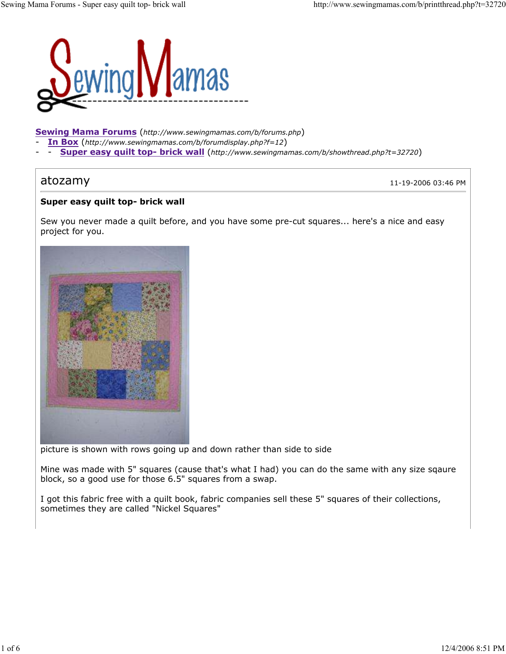

Sewing Mama Forums (http://www.sewingmamas.com/b/forums.php)

- In Box (http://www.sewingmamas.com/b/forumdisplay.php?f=12)
- Super easy quilt top- brick wall (http://www.sewingmamas.com/b/showthread.php?t=32720)

atozamy 11-19-2006 03:46 PM

## Super easy quilt top- brick wall

Sew you never made a quilt before, and you have some pre-cut squares... here's a nice and easy project for you.



picture is shown with rows going up and down rather than side to side

Mine was made with 5" squares (cause that's what I had) you can do the same with any size sqaure block, so a good use for those 6.5" squares from a swap.

I got this fabric free with a quilt book, fabric companies sell these 5" squares of their collections, sometimes they are called "Nickel Squares"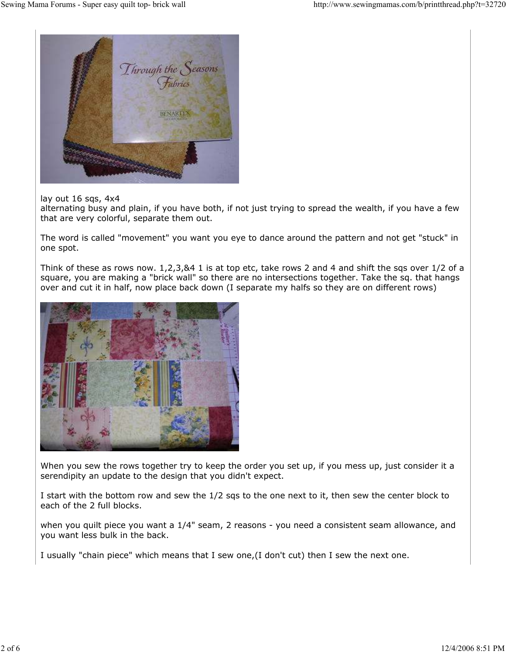

lay out 16 sqs, 4x4

alternating busy and plain, if you have both, if not just trying to spread the wealth, if you have a few that are very colorful, separate them out.

The word is called "movement" you want you eye to dance around the pattern and not get "stuck" in one spot.

Think of these as rows now. 1,2,3,&4 1 is at top etc, take rows 2 and 4 and shift the sqs over 1/2 of a square, you are making a "brick wall" so there are no intersections together. Take the sq. that hangs over and cut it in half, now place back down (I separate my halfs so they are on different rows)



When you sew the rows together try to keep the order you set up, if you mess up, just consider it a serendipity an update to the design that you didn't expect.

I start with the bottom row and sew the 1/2 sqs to the one next to it, then sew the center block to each of the 2 full blocks.

when you quilt piece you want a 1/4" seam, 2 reasons - you need a consistent seam allowance, and you want less bulk in the back.

I usually "chain piece" which means that I sew one,(I don't cut) then I sew the next one.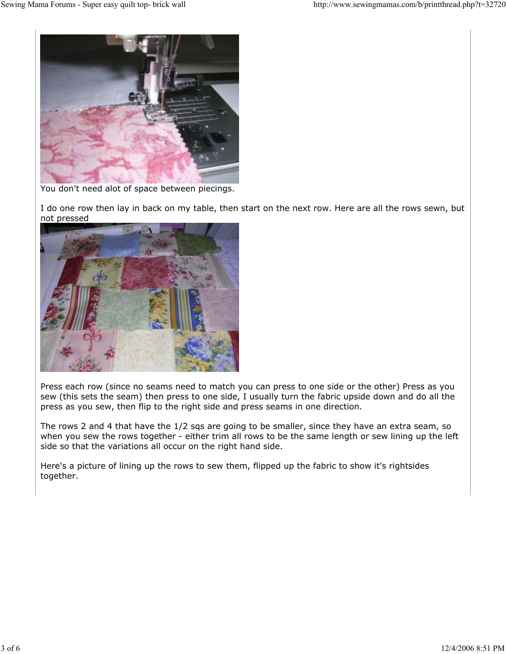

You don't need alot of space between piecings.

I do one row then lay in back on my table, then start on the next row. Here are all the rows sewn, but not pressed



Press each row (since no seams need to match you can press to one side or the other) Press as you sew (this sets the seam) then press to one side, I usually turn the fabric upside down and do all the press as you sew, then flip to the right side and press seams in one direction.

The rows 2 and 4 that have the 1/2 sqs are going to be smaller, since they have an extra seam, so when you sew the rows together - either trim all rows to be the same length or sew lining up the left side so that the variations all occur on the right hand side.

Here's a picture of lining up the rows to sew them, flipped up the fabric to show it's rightsides together.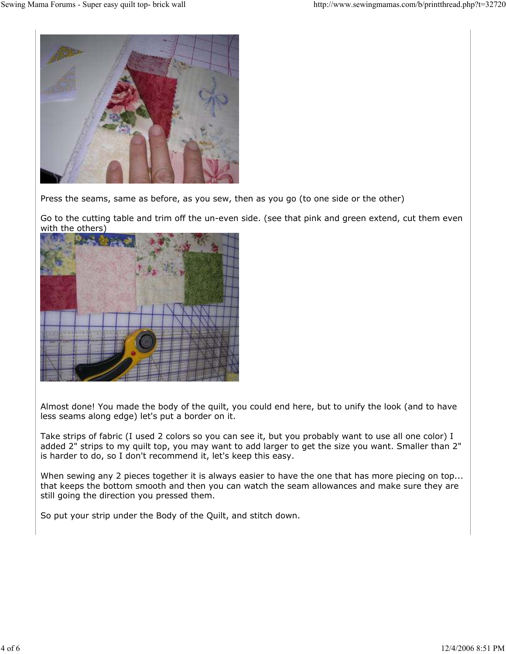

Press the seams, same as before, as you sew, then as you go (to one side or the other)

Go to the cutting table and trim off the un-even side. (see that pink and green extend, cut them even with the others)



Almost done! You made the body of the quilt, you could end here, but to unify the look (and to have less seams along edge) let's put a border on it.

Take strips of fabric (I used 2 colors so you can see it, but you probably want to use all one color) I added 2" strips to my quilt top, you may want to add larger to get the size you want. Smaller than 2" is harder to do, so I don't recommend it, let's keep this easy.

When sewing any 2 pieces together it is always easier to have the one that has more piecing on top... that keeps the bottom smooth and then you can watch the seam allowances and make sure they are still going the direction you pressed them.

So put your strip under the Body of the Quilt, and stitch down.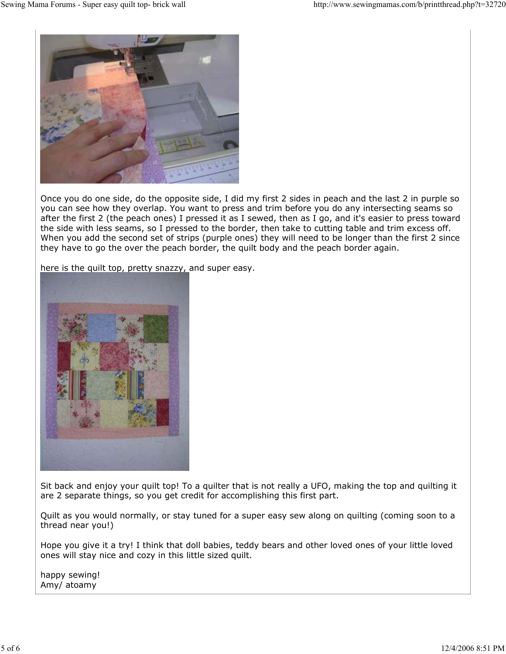

Once you do one side, do the opposite side, I did my first 2 sides in peach and the last 2 in purple so you can see how they overlap. You want to press and trim before you do any intersecting seams so after the first 2 (the peach ones) I pressed it as I sewed, then as I go, and it's easier to press toward the side with less seams, so I pressed to the border, then take to cutting table and trim excess off. When you add the second set of strips (purple ones) they will need to be longer than the first 2 since they have to go the over the peach border, the quilt body and the peach border again.

here is the quilt top, pretty snazzy, and super easy.



Sit back and enjoy your quilt top! To a quilter that is not really a UFO, making the top and quilting it are 2 separate things, so you get credit for accomplishing this first part.

Quilt as you would normally, or stay tuned for a super easy sew along on quilting (coming soon to a thread near you!)

Hope you give it a try! I think that doll babies, teddy bears and other loved ones of your little loved ones will stay nice and cozy in this little sized quilt.

happy sewing! Amy/ atoamy